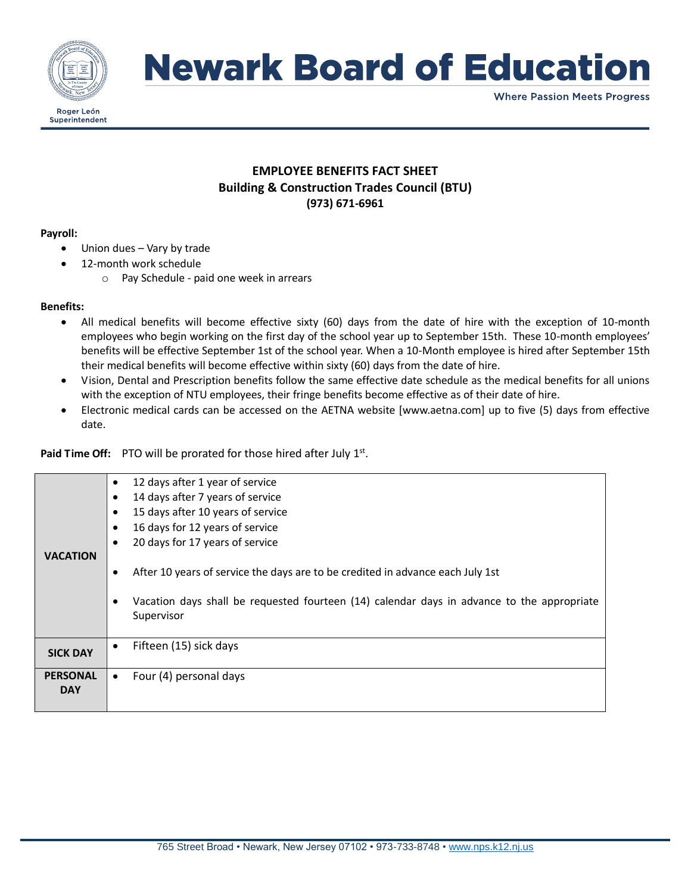

# **Newark Board of Education**

**Where Passion Meets Progress** 

# **EMPLOYEE BENEFITS FACT SHEET Building & Construction Trades Council (BTU) (973) 671-6961**

### **Payroll:**

- Union dues Vary by trade
- 12-month work schedule
	- o Pay Schedule paid one week in arrears

### **Benefits:**

- All medical benefits will become effective sixty (60) days from the date of hire with the exception of 10-month employees who begin working on the first day of the school year up to September 15th. These 10-month employees' benefits will be effective September 1st of the school year. When a 10-Month employee is hired after September 15th their medical benefits will become effective within sixty (60) days from the date of hire.
- Vision, Dental and Prescription benefits follow the same effective date schedule as the medical benefits for all unions with the exception of NTU employees, their fringe benefits become effective as of their date of hire.
- Electronic medical cards can be accessed on the AETNA website [www.aetna.com] up to five (5) days from effective date.

Paid Time Off: PTO will be prorated for those hired after July 1<sup>st</sup>.

| <b>VACATION</b>               | 12 days after 1 year of service<br>14 days after 7 years of service<br>15 days after 10 years of service<br>16 days for 12 years of service<br>20 days for 17 years of service<br>After 10 years of service the days are to be credited in advance each July 1st<br>Vacation days shall be requested fourteen (14) calendar days in advance to the appropriate<br>Supervisor |
|-------------------------------|------------------------------------------------------------------------------------------------------------------------------------------------------------------------------------------------------------------------------------------------------------------------------------------------------------------------------------------------------------------------------|
| <b>SICK DAY</b>               | Fifteen (15) sick days<br>$\bullet$                                                                                                                                                                                                                                                                                                                                          |
| <b>PERSONAL</b><br><b>DAY</b> | Four (4) personal days<br>$\bullet$                                                                                                                                                                                                                                                                                                                                          |